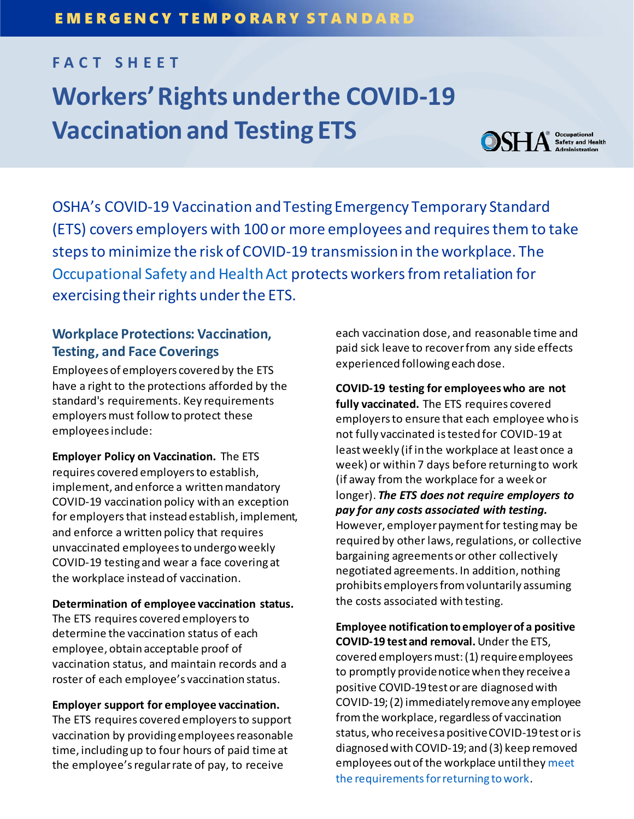# **FACT SHEET Workers' Rights under the COVID-19 Vaccination and Testing ETS**



OSHA's COVID-19 Vaccination and Testing Emergency Temporary Standard (ETS) covers employers with 100 or more employees and requires them to take steps to minimize the risk of COVID-19 transmission in the workplace. The [Occupational Safety and Health Act](https://www.osha.gov/laws-regs/oshact/completeoshact) protects workers from retaliation for exercising their rights under the ETS.

# **Workplace Protections: Vaccination, Testing, and Face Coverings**

Employees of employers covered by the ETS have a right to the protections afforded by the standard's requirements. Key requirements employers must follow to protect these employees include:

**Employer Policy on Vaccination.** The ETS requires covered employers to establish, implement, and enforce a written mandatory COVID-19 vaccination policy with an exception for employersthat instead establish, implement, and enforce a written policy that requires unvaccinated employees to undergo weekly COVID-19 testing and wear a face covering at the workplace instead of vaccination.

#### **Determination of employee vaccination status.**

The ETS requires covered employers to determine the vaccination status of each employee, obtain acceptable proof of vaccination status, and maintain records and a roster of each employee's vaccination status.

#### **Employer support for employee vaccination.**

The ETS requires covered employers to support vaccination by providing employees reasonable time, including up to four hours of paid time at the employee's regular rate of pay, to receive

each vaccination dose, and reasonable time and paid sick leave to recover from any side effects experienced following each dose.

**COVID-19 testing for employees who are not fully vaccinated.** The ETS requires covered employers to ensure that each employee who is not fully vaccinated is tested for COVID-19 at least weekly (if in the workplace at least once a week) or within 7 days before returning to work (if away from the workplace for a week or longer). *The ETS does not require employers to pay for any costs associated with testing.* However, employer payment for testing may be required by other laws, regulations, or collective bargaining agreements or other collectively negotiated agreements. In addition, nothing prohibits employers from voluntarily assuming the costs associated with testing.

**Employee notification to employer of a positive COVID-19 test and removal.**Under the ETS, covered employers must: (1) require employees to promptly provide notice when they receive a positive COVID-19 test or are diagnosed with COVID-19; (2) immediately remove any employee from the workplace, regardless of vaccination status, who receives a positive COVID-19 test or is diagnosed with COVID-19; and (3) keep removed employees out of the workplace until the[y meet](https://www.osha.gov/sites/default/files/CDC)  [the requirements for returning to work](https://www.osha.gov/sites/default/files/CDC).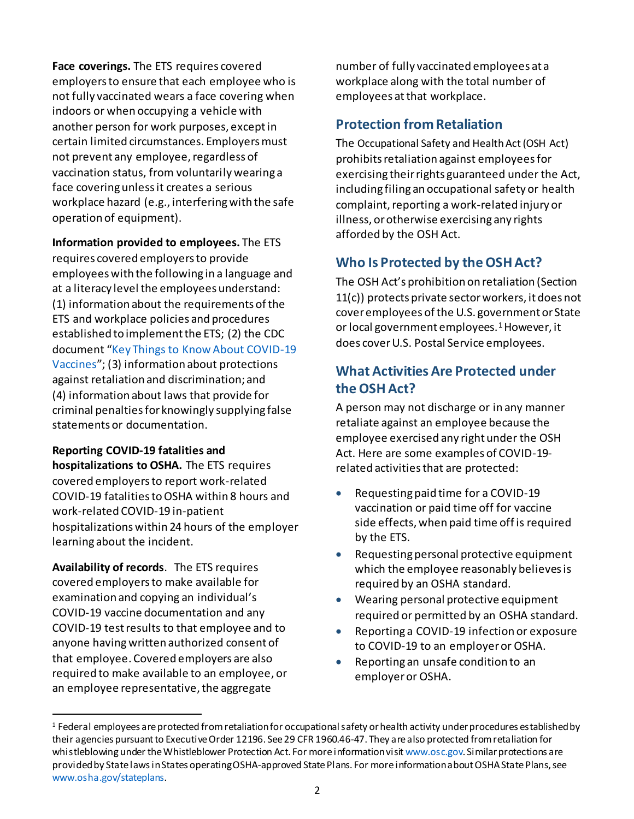**Face coverings.** The ETS requires covered employers to ensure that each employee who is not fully vaccinated wears a face covering when indoors or when occupying a vehicle with another person for work purposes, except in certain limited circumstances. Employers must not prevent any employee, regardless of vaccination status, from voluntarily wearing a face covering unless it creates a serious workplace hazard (e.g., interfering with the safe operation of equipment).

**Information provided to employees.** The ETS requires covered employers to provide employees with the following in a language and at a literacy level the employees understand: (1) information about the requirements of the ETS and workplace policies and procedures established to implement the ETS; (2) the CDC document "[Key Things to Know About COVID-19](https://www.cdc.gov/coronavirus/2019-ncov/vaccines/keythingstoknow.html)  [Vaccines](https://www.cdc.gov/coronavirus/2019-ncov/vaccines/keythingstoknow.html)"; (3) information about protections against retaliation and discrimination; and (4) information about laws that provide for criminal penalties for knowingly supplying false statements or documentation.

#### **Reporting COVID-19 fatalities and**

**hospitalizations to OSHA.** The ETS requires covered employers to report work-related COVID-19 fatalities to OSHA within 8 hours and work-related COVID-19 in-patient hospitalizations within 24 hours of the employer learning about the incident.

**Availability of records**. The ETS requires covered employers to make available for examination and copying an individual's COVID-19 vaccine documentation and any COVID-19 test results to that employee and to anyone having written authorized consent of that employee. Covered employers are also required to make available to an employee, or an employee representative, the aggregate

l

number of fully vaccinated employees at a workplace along with the total number of employees at that workplace.

#### **Protection from Retaliation**

The Occupational Safety and Health Act (OSH Act) prohibits retaliation against employees for exercising their rights guaranteed under the Act, including filing an occupational safety or health complaint, reporting a work-related injury or illness, or otherwise exercising any rights afforded by the OSH Act.

## **Who Is Protected by the OSH Act?**

The OSH Act's prohibition on retaliation (Section 11(c)) protects private sector workers, it does not cover employees of the U.S. government or State or local government employees.<sup>1</sup> However, it does cover U.S. Postal Service employees.

## **What Activities Are Protected under theOSH Act?**

A person may not discharge or in any manner retaliate against an employee because the employee exercised any right under the OSH Act. Here are some examples of COVID-19 related activities that are protected:

- Requesting paid time for a COVID-19 vaccination or paid time off for vaccine side effects, when paid time off is required by the ETS.
- Requesting personal protective equipment which the employee reasonably believes is required by an OSHA standard.
- Wearing personal protective equipment required or permitted by an OSHA standard.
- Reporting a COVID-19 infection or exposure to COVID-19 to an employer or OSHA.
- Reporting an unsafe condition to an employer or OSHA.

<sup>1</sup> Federal employees are protected from retaliation for occupational safety or health activity under procedures established by their agencies pursuant to Executive Order 12196. See 29 CFR 1960.46-47. They are also protected from retaliation for whistleblowing under the Whistleblower Protection Act. For more information visi[t www.osc.gov.](https://www.osc.gov) Similar protections are provided by State laws in States operating OSHA-approved State Plans. For more information about OSHA State Plans, see [www.osha.gov/stateplans.](https://www.osha.gov/stateplans)